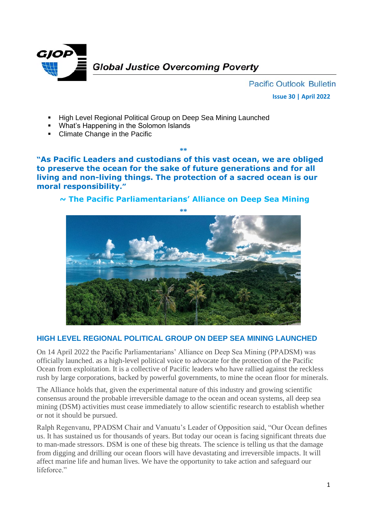

**Pacific Outlook Bulletin Issue 30 | April 2022**

- High Level Regional Political Group on Deep Sea Mining Launched
- What's Happening in the Solomon Islands
- **Climate Change in the Pacific**

**"As Pacific Leaders and custodians of this vast ocean, we are obliged to preserve the ocean for the sake of future generations and for all living and non-living things. The protection of a sacred ocean is our moral responsibility."**

**\*\***

## **~ The Pacific Parliamentarians' Alliance on Deep Sea Mining**



## **HIGH LEVEL REGIONAL POLITICAL GROUP ON DEEP SEA MINING LAUNCHED**

On 14 April 2022 the Pacific Parliamentarians' Alliance on Deep Sea Mining (PPADSM) was officially launched. as a high-level political voice to advocate for the protection of the Pacific Ocean from exploitation. It is a collective of Pacific leaders who have rallied against the reckless rush by large corporations, backed by powerful governments, to mine the ocean floor for minerals.

The Alliance holds that, given the experimental nature of this industry and growing scientific consensus around the probable irreversible damage to the ocean and ocean systems, all deep sea mining (DSM) activities must cease immediately to allow scientific research to establish whether or not it should be pursued.

Ralph Regenvanu, PPADSM Chair and Vanuatu's Leader of Opposition said, "Our Ocean defines us. It has sustained us for thousands of years. But today our ocean is facing significant threats due to man-made stressors. DSM is one of these big threats. The science is telling us that the damage from digging and drilling our ocean floors will have devastating and irreversible impacts. It will affect marine life and human lives. We have the opportunity to take action and safeguard our lifeforce"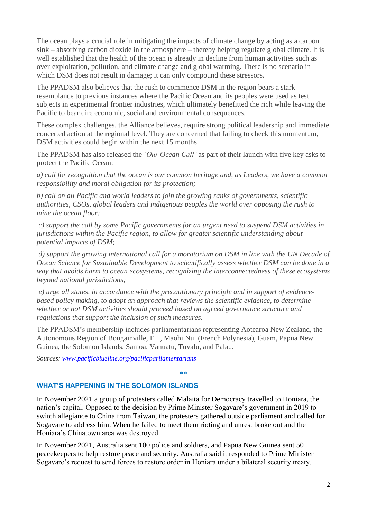The ocean plays a crucial role in mitigating the impacts of climate change by acting as a carbon sink – absorbing carbon dioxide in the atmosphere – thereby helping regulate global climate. It is well established that the health of the ocean is already in decline from human activities such as over-exploitation, pollution, and climate change and global warming. There is no scenario in which DSM does not result in damage; it can only compound these stressors.

The PPADSM also believes that the rush to commence DSM in the region bears a stark resemblance to previous instances where the Pacific Ocean and its peoples were used as test subjects in experimental frontier industries, which ultimately benefitted the rich while leaving the Pacific to bear dire economic, social and environmental consequences.

These complex challenges, the Alliance believes, require strong political leadership and immediate concerted action at the regional level. They are concerned that failing to check this momentum, DSM activities could begin within the next 15 months.

The PPADSM has also released the *'Our Ocean Call'* as part of their launch with five key asks to protect the Pacific Ocean:

*a) call for recognition that the ocean is our common heritage and, as Leaders, we have a common responsibility and moral obligation for its protection;*

*b) call on all Pacific and world leaders to join the growing ranks of governments, scientific authorities, CSOs, global leaders and indigenous peoples the world over opposing the rush to mine the ocean floor;*

*c) support the call by some Pacific governments for an urgent need to suspend DSM activities in jurisdictions within the Pacific region, to allow for greater scientific understanding about potential impacts of DSM;*

*d) support the growing international call for a moratorium on DSM in line with the UN Decade of Ocean Science for Sustainable Development to scientifically assess whether DSM can be done in a way that avoids harm to ocean ecosystems, recognizing the interconnectedness of these ecosystems beyond national jurisdictions;*

*e) urge all states, in accordance with the precautionary principle and in support of evidencebased policy making, to adopt an approach that reviews the scientific evidence, to determine whether or not DSM activities should proceed based on agreed governance structure and regulations that support the inclusion of such measures.*

The PPADSM's membership includes parliamentarians representing Aotearoa New Zealand, the Autonomous Region of Bougainville, Fiji, Maohi Nui (French Polynesia), Guam, Papua New Guinea, the Solomon Islands, Samoa, Vanuatu, Tuvalu, and Palau.

*Sources: [www.pacificblueline.org/pacificparliamentarians](http://www.pacificblueline.org/pacificparliamentarians)*

**\*\***

## **WHAT'S HAPPENING IN THE SOLOMON ISLANDS**

In November 2021 a group of protesters called Malaita for Democracy travelled to Honiara, the nation's capital. Opposed to the decision by Prime Minister Sogavare's government in 2019 to switch allegiance to China from Taiwan, the protesters gathered outside parliament and called for Sogavare to address him. When he failed to meet them rioting and unrest broke out and the Honiara's Chinatown area was destroyed.

In November 2021, Australia sent 100 police and soldiers, and Papua New Guinea sent 50 peacekeepers to help restore peace and security. Australia said it responded to Prime Minister Sogavare's request to send forces to restore order in Honiara under a bilateral security treaty.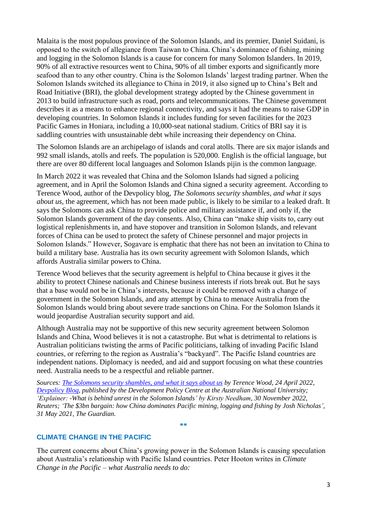Malaita is the most populous province of the Solomon Islands, and its premier, Daniel Suidani, is opposed to the switch of allegiance from Taiwan to China. China's dominance of fishing, mining and logging in the Solomon Islands is a cause for concern for many Solomon Islanders. In 2019, 90% of all extractive resources went to China, 90% of all timber exports and significantly more seafood than to any other country. China is the Solomon Islands' largest trading partner. When the Solomon Islands switched its allegiance to China in 2019, it also signed up to China's Belt and Road Initiative (BRI), the global development strategy adopted by the Chinese government in 2013 to build infrastructure such as road, ports and telecommunications. The Chinese government describes it as a means to enhance regional connectivity, and says it had the means to raise GDP in developing countries. In Solomon Islands it includes funding for seven facilities for the 2023 Pacific Games in Honiara, including a 10,000-seat national stadium. Critics of BRI say it is saddling countries with unsustainable debt while increasing their dependency on China.

The Solomon Islands are an archipelago of islands and coral atolls. There are six major islands and 992 small islands, atolls and reefs. The population is 520,000. English is the official language, but there are over 80 different local languages and Solomon Islands pijin is the common language.

In March 2022 it was revealed that China and the Solomon Islands had signed a policing agreement, and in April the Solomon Islands and China signed a security agreement. According to Terence Wood, author of the Devpolicy blog, *The Solomons security shambles, and what it says about us*, the agreement, which has not been made public, is likely to be similar to a leaked draft. It says the Solomons can ask China to provide police and military assistance if, and only if, the Solomon Islands government of the day consents. Also, China can "make ship visits to, carry out logistical replenishments in, and have stopover and transition in Solomon Islands, and relevant forces of China can be used to protect the safety of Chinese personnel and major projects in Solomon Islands." However, Sogavare is emphatic that there has not been an invitation to China to build a military base. Australia has its own security agreement with Solomon Islands, which affords Australia similar powers to China.

Terence Wood believes that the security agreement is helpful to China because it gives it the ability to protect Chinese nationals and Chinese business interests if riots break out. But he says that a base would not be in China's interests, because it could be removed with a change of government in the Solomon Islands, and any attempt by China to menace Australia from the Solomon Islands would bring about severe trade sanctions on China. For the Solomon Islands it would jeopardise Australian security support and aid.

Although Australia may not be supportive of this new security agreement between Solomon Islands and China, Wood believes it is not a catastrophe. But what is detrimental to relations is Australian politicians twisting the arms of Pacific politicians, talking of invading Pacific Island countries, or referring to the region as Australia's "backyard". The Pacific Island countries are independent nations. Diplomacy is needed, and aid and support focusing on what these countries need. Australia needs to be a respectful and reliable partner.

*Sources: [The Solomons security shambles, and what it says about us](https://devpolicy.org/solomons-security-shambles-20220423/) by Terence Wood, 24 April 2022, [Devpolicy Blog,](http://www.devpolicy.org/) published by the Development Policy Centre at the Australian National University; 'Explainer: -What is behind unrest in the Solomon Islands' by Kirsty Needham, 30 November 2022, Reuters; 'The \$3bn bargain: how China dominates Pacific mining, logging and fishing by Josh Nicholas', 31 May 2021, The Guardian.*

**\*\***

## **CLIMATE CHANGE IN THE PACIFIC**

The current concerns about China's growing power in the Solomon Islands is causing speculation about Australia's relationship with Pacific Island countries. Peter Hooton writes in *Climate Change in the Pacific – what Australia needs to do:*